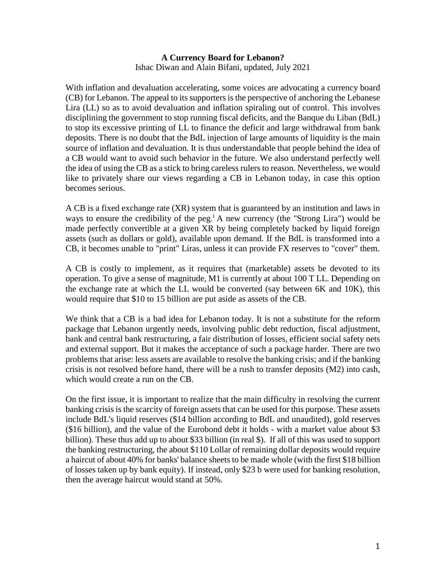## **A Currency Board for Lebanon?**  Ishac Diwan and Alain Bifani, updated, July 2021

With inflation and devaluation accelerating, some voices are advocating a currency board (CB) for Lebanon. The appeal to its supporters is the perspective of anchoring the Lebanese Lira (LL) so as to avoid devaluation and inflation spiraling out of control. This involves disciplining the government to stop running fiscal deficits, and the Banque du Liban (BdL) to stop its excessive printing of LL to finance the deficit and large withdrawal from bank deposits. There is no doubt that the BdL injection of large amounts of liquidity is the main source of inflation and devaluation. It is thus understandable that people behind the idea of a CB would want to avoid such behavior in the future. We also understand perfectly well the idea of using the CB as a stick to bring careless rulers to reason. Nevertheless, we would like to privately share our views regarding a CB in Lebanon today, in case this option becomes serious.

A CB is a fixed exchange rate (XR) system that is guaranteed by an institution and laws in ways to ensure the credibility of the peg.<sup>i</sup> A new currency (the "Strong Lira") would be made perfectly convertible at a given XR by being completely backed by liquid foreign assets (such as dollars or gold), available upon demand. If the BdL is transformed into a CB, it becomes unable to "print" Liras, unless it can provide FX reserves to "cover" them.

A CB is costly to implement, as it requires that (marketable) assets be devoted to its operation. To give a sense of magnitude, M1 is currently at about 100 T LL. Depending on the exchange rate at which the LL would be converted (say between 6K and 10K), this would require that \$10 to 15 billion are put aside as assets of the CB.

We think that a CB is a bad idea for Lebanon today. It is not a substitute for the reform package that Lebanon urgently needs, involving public debt reduction, fiscal adjustment, bank and central bank restructuring, a fair distribution of losses, efficient social safety nets and external support. But it makes the acceptance of such a package harder. There are two problems that arise: less assets are available to resolve the banking crisis; and if the banking crisis is not resolved before hand, there will be a rush to transfer deposits (M2) into cash, which would create a run on the CB.

On the first issue, it is important to realize that the main difficulty in resolving the current banking crisis is the scarcity of foreign assets that can be used for this purpose. These assets include BdL's liquid reserves (\$14 billion according to BdL and unaudited), gold reserves (\$16 billion), and the value of the Eurobond debt it holds - with a market value about \$3 billion). These thus add up to about \$33 billion (in real \$). If all of this was used to support the banking restructuring, the about \$110 Lollar of remaining dollar deposits would require a haircut of about 40% for banks' balance sheets to be made whole (with the first \$18 billion of losses taken up by bank equity). If instead, only \$23 b were used for banking resolution, then the average haircut would stand at 50%.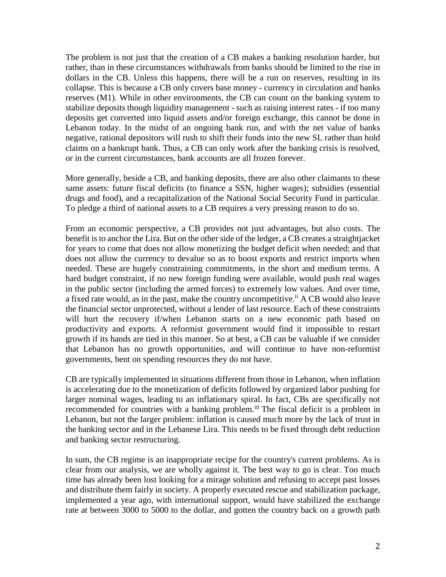The problem is not just that the creation of a CB makes a banking resolution harder, but rather, than in these circumstances withdrawals from banks should be limited to the rise in dollars in the CB. Unless this happens, there will be a run on reserves, resulting in its collapse. This is because a CB only covers base money - currency in circulation and banks reserves (M1). While in other environments, the CB can count on the banking system to stabilize deposits though liquidity management - such as raising interest rates - if too many deposits get converted into liquid assets and/or foreign exchange, this cannot be done in Lebanon today. In the midst of an ongoing bank run, and with the net value of banks negative, rational depositors will rush to shift their funds into the new SL rather than hold claims on a bankrupt bank. Thus, a CB can only work after the banking crisis is resolved, or in the current circumstances, bank accounts are all frozen forever.

More generally, beside a CB, and banking deposits, there are also other claimants to these same assets: future fiscal deficits (to finance a SSN, higher wages); subsidies (essential drugs and food), and a recapitalization of the National Social Security Fund in particular. To pledge a third of national assets to a CB requires a very pressing reason to do so.

From an economic perspective, a CB provides not just advantages, but also costs. The benefit is to anchor the Lira. But on the other side of the ledger, a CB creates a straightjacket for years to come that does not allow monetizing the budget deficit when needed; and that does not allow the currency to devalue so as to boost exports and restrict imports when needed. These are hugely constraining commitments, in the short and medium terms. A hard budget constraint, if no new foreign funding were available, would push real wages in the public sector (including the armed forces) to extremely low values. And over time, a fixed rate would, as in the past, make the country uncompetitive.<sup>ii</sup> A CB would also leave the financial sector unprotected, without a lender of last resource. Each of these constraints will hurt the recovery if/when Lebanon starts on a new economic path based on productivity and exports. A reformist government would find it impossible to restart growth if its hands are tied in this manner. So at best, a CB can be valuable if we consider that Lebanon has no growth opportunities, and will continue to have non-reformist governments, bent on spending resources they do not have.

CB are typically implemented in situations different from those in Lebanon, when inflation is accelerating due to the monetization of deficits followed by organized labor pushing for larger nominal wages, leading to an inflationary spiral. In fact, CBs are specifically not recommended for countries with a banking problem.<sup>iii</sup> The fiscal deficit is a problem in Lebanon, but not the larger problem: inflation is caused much more by the lack of trust in the banking sector and in the Lebanese Lira. This needs to be fixed through debt reduction and banking sector restructuring.

In sum, the CB regime is an inappropriate recipe for the country's current problems. As is clear from our analysis, we are wholly against it. The best way to go is clear. Too much time has already been lost looking for a mirage solution and refusing to accept past losses and distribute them fairly in society. A properly executed rescue and stabilization package, implemented a year ago, with international support, would have stabilized the exchange rate at between 3000 to 5000 to the dollar, and gotten the country back on a growth path